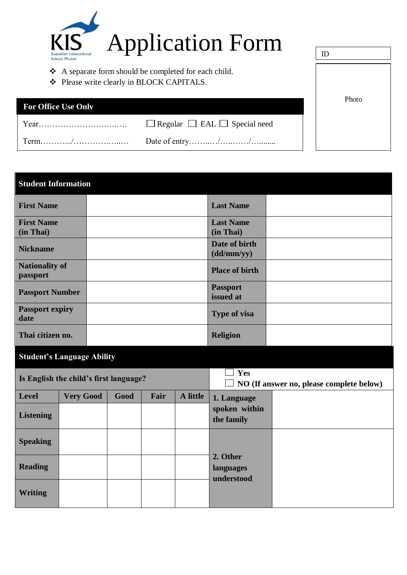

- A separate form should be completed for each child.
- Please write clearly in BLOCK CAPITALS.

| <b>For Office Use Only</b> |                                               | Photo |
|----------------------------|-----------------------------------------------|-------|
| Year                       | $\Box$ Regular $\Box$ EAL $\Box$ Special need |       |
|                            |                                               |       |

ID

## **Student Information First Name Last Name First Name (in Thai) Last Name (in Thai) Nickname Date of birth Date of birth (dd/mm/yy) Nationality of passport Place of birth Place of birth Passport Number 1 2008 Passport 1 2008 Passport issued at Passport expiry date Type of visa Thai citizen no. Religion Religion**

## **Student's Language Ability**

|                  | Is English the child's first language? |      |      | Yes<br>$\Box$ NO (If answer no, please complete below) |                                     |  |  |  |
|------------------|----------------------------------------|------|------|--------------------------------------------------------|-------------------------------------|--|--|--|
| Level            | <b>Very Good</b>                       | Good | Fair | A little                                               | 1. Language                         |  |  |  |
| <b>Listening</b> |                                        |      |      |                                                        | spoken within<br>the family         |  |  |  |
| <b>Speaking</b>  |                                        |      |      |                                                        |                                     |  |  |  |
| <b>Reading</b>   |                                        |      |      |                                                        | 2. Other<br>languages<br>understood |  |  |  |
| <b>Writing</b>   |                                        |      |      |                                                        |                                     |  |  |  |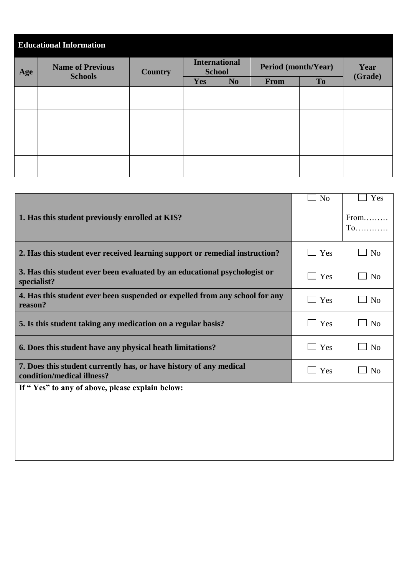| <b>Educational Information</b> |                                           |                |               |                      |                            |      |         |  |  |  |  |
|--------------------------------|-------------------------------------------|----------------|---------------|----------------------|----------------------------|------|---------|--|--|--|--|
| Age                            | <b>Name of Previous</b><br><b>Schools</b> | <b>Country</b> | <b>School</b> | <b>International</b> | <b>Period (month/Year)</b> | Year |         |  |  |  |  |
|                                |                                           |                | Yes           | N <sub>o</sub>       | <b>From</b>                | To   | (Grade) |  |  |  |  |
|                                |                                           |                |               |                      |                            |      |         |  |  |  |  |
|                                |                                           |                |               |                      |                            |      |         |  |  |  |  |
|                                |                                           |                |               |                      |                            |      |         |  |  |  |  |
|                                |                                           |                |               |                      |                            |      |         |  |  |  |  |
|                                |                                           |                |               |                      |                            |      |         |  |  |  |  |
|                                |                                           |                |               |                      |                            |      |         |  |  |  |  |
|                                |                                           |                |               |                      |                            |      |         |  |  |  |  |
|                                |                                           |                |               |                      |                            |      |         |  |  |  |  |

|                                                                                                  | N <sub>o</sub>        | Yes                                        |
|--------------------------------------------------------------------------------------------------|-----------------------|--------------------------------------------|
| 1. Has this student previously enrolled at KIS?                                                  |                       | From<br>$To$                               |
| 2. Has this student ever received learning support or remedial instruction?                      | $\Box$ Yes            | N <sub>o</sub><br>$\blacksquare$           |
| 3. Has this student ever been evaluated by an educational psychologist or<br>specialist?         | $\Box$ Yes            | $\Box$ No                                  |
| 4. Has this student ever been suspended or expelled from any school for any<br>reason?           | $\Box$ Yes            | $\Box$ No                                  |
| 5. Is this student taking any medication on a regular basis?                                     | Yes<br>$\blacksquare$ | N <sub>0</sub><br>$\overline{\phantom{a}}$ |
| 6. Does this student have any physical heath limitations?                                        | $\Box$ Yes            | $\Box$ No                                  |
| 7. Does this student currently has, or have history of any medical<br>condition/medical illness? | $\Box$ Yes            | N <sub>0</sub><br>$\blacksquare$           |
| If "Yes" to any of above, please explain below:                                                  |                       |                                            |
|                                                                                                  |                       |                                            |
|                                                                                                  |                       |                                            |
|                                                                                                  |                       |                                            |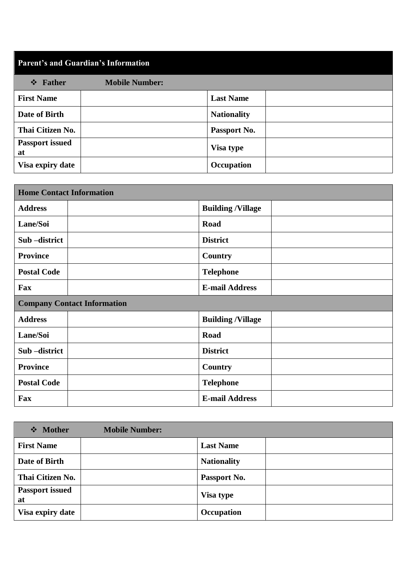| <b>Parent's and Guardian's Information</b> |                       |                    |  |  |  |  |  |  |
|--------------------------------------------|-----------------------|--------------------|--|--|--|--|--|--|
| $\div$ Father                              | <b>Mobile Number:</b> |                    |  |  |  |  |  |  |
| <b>First Name</b>                          |                       | <b>Last Name</b>   |  |  |  |  |  |  |
| Date of Birth                              |                       | <b>Nationality</b> |  |  |  |  |  |  |
| Thai Citizen No.                           |                       | Passport No.       |  |  |  |  |  |  |
| <b>Passport issued</b><br>at               |                       | Visa type          |  |  |  |  |  |  |
| Visa expiry date                           |                       | Occupation         |  |  |  |  |  |  |

| <b>Home Contact Information</b>    |                          |
|------------------------------------|--------------------------|
| <b>Address</b>                     | <b>Building /Village</b> |
| Lane/Soi                           | <b>Road</b>              |
| Sub-district                       | <b>District</b>          |
| <b>Province</b>                    | Country                  |
| <b>Postal Code</b>                 | <b>Telephone</b>         |
| Fax                                | <b>E-mail Address</b>    |
| <b>Company Contact Information</b> |                          |
| <b>Address</b>                     | <b>Building /Village</b> |
| Lane/Soi                           |                          |
|                                    | <b>Road</b>              |
| Sub-district                       | <b>District</b>          |
| <b>Province</b>                    | Country                  |
| <b>Postal Code</b>                 | <b>Telephone</b>         |

| ❖ Mother                     | <b>Mobile Number:</b> |                    |
|------------------------------|-----------------------|--------------------|
| <b>First Name</b>            |                       | <b>Last Name</b>   |
| Date of Birth                |                       | <b>Nationality</b> |
| Thai Citizen No.             |                       | Passport No.       |
| <b>Passport issued</b><br>at |                       | <b>Visa type</b>   |
| Visa expiry date             |                       | <b>Occupation</b>  |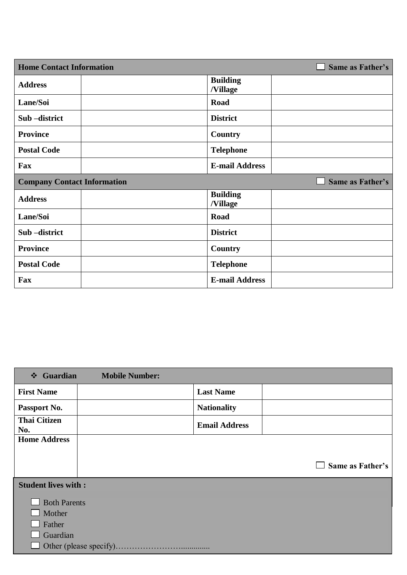| <b>Home Contact Information</b>    |                             | Same as Father's |
|------------------------------------|-----------------------------|------------------|
| <b>Address</b>                     | <b>Building</b><br>/Village |                  |
| Lane/Soi                           | Road                        |                  |
| Sub-district                       | <b>District</b>             |                  |
| <b>Province</b>                    | Country                     |                  |
| <b>Postal Code</b>                 | <b>Telephone</b>            |                  |
| Fax                                | <b>E-mail Address</b>       |                  |
|                                    |                             |                  |
| <b>Company Contact Information</b> |                             | Same as Father's |
| <b>Address</b>                     | <b>Building</b><br>/Village |                  |
| Lane/Soi                           | Road                        |                  |
| Sub-district                       | <b>District</b>             |                  |
| <b>Province</b>                    | Country                     |                  |
| <b>Postal Code</b>                 | <b>Telephone</b>            |                  |

| <b>Guardian</b><br>$\frac{1}{2}$ | <b>Mobile Number:</b> |                      |                  |
|----------------------------------|-----------------------|----------------------|------------------|
| <b>First Name</b>                |                       | <b>Last Name</b>     |                  |
| Passport No.                     |                       | <b>Nationality</b>   |                  |
| <b>Thai Citizen</b><br>No.       |                       | <b>Email Address</b> |                  |
| <b>Home Address</b>              |                       |                      |                  |
|                                  |                       |                      |                  |
|                                  |                       |                      | Same as Father's |
| <b>Student lives with:</b>       |                       |                      |                  |
| <b>Both Parents</b>              |                       |                      |                  |
| Mother                           |                       |                      |                  |
| Father                           |                       |                      |                  |
| Guardian                         |                       |                      |                  |
|                                  |                       |                      |                  |